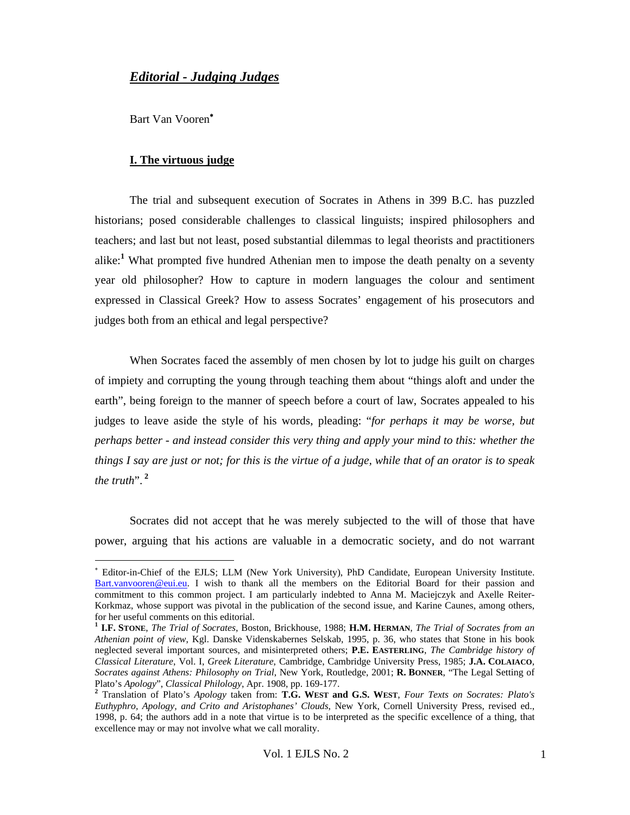# *Editorial - Judging Judges*

Bart Van Vooren<sup>∗</sup>

-

## **I. The virtuous judge**

The trial and subsequent execution of Socrates in Athens in 399 B.C. has puzzled historians; posed considerable challenges to classical linguists; inspired philosophers and teachers; and last but not least, posed substantial dilemmas to legal theorists and practitioners alike:**<sup>1</sup>** What prompted five hundred Athenian men to impose the death penalty on a seventy year old philosopher? How to capture in modern languages the colour and sentiment expressed in Classical Greek? How to assess Socrates' engagement of his prosecutors and judges both from an ethical and legal perspective?

When Socrates faced the assembly of men chosen by lot to judge his guilt on charges of impiety and corrupting the young through teaching them about "things aloft and under the earth", being foreign to the manner of speech before a court of law, Socrates appealed to his judges to leave aside the style of his words, pleading: "*for perhaps it may be worse, but perhaps better - and instead consider this very thing and apply your mind to this: whether the things I say are just or not; for this is the virtue of a judge, while that of an orator is to speak the truth*".**<sup>2</sup>**

Socrates did not accept that he was merely subjected to the will of those that have power, arguing that his actions are valuable in a democratic society, and do not warrant

<sup>∗</sup> Editor-in-Chief of the EJLS; LLM (New York University), PhD Candidate, European University Institute. Bart.vanvooren@eui.eu. I wish to thank all the members on the Editorial Board for their passion and commitment to this common project. I am particularly indebted to Anna M. Maciejczyk and Axelle Reiter-Korkmaz, whose support was pivotal in the publication of the second issue, and Karine Caunes, among others, for her useful comments on this editorial.

**<sup>1</sup> I.F. STONE**, *The Trial of Socrates*, Boston, Brickhouse, 1988; **H.M. HERMAN**, *The Trial of Socrates from an Athenian point of view*, Kgl. Danske Videnskabernes Selskab, 1995, p. 36, who states that Stone in his book neglected several important sources, and misinterpreted others; **P.E. EASTERLING**, *The Cambridge history of Classical Literature*, Vol. I, *Greek Literature*, Cambridge, Cambridge University Press, 1985; **J.A. COLAIACO**, *Socrates against Athens: Philosophy on Trial*, New York, Routledge, 2001; **R. BONNER**, "The Legal Setting of

<sup>&</sup>lt;sup>2</sup> Translation of Plato's Apology taken from: T.G. WEST and G.S. WEST, Four Texts on Socrates: Plato's *Euthyphro, Apology, and Crito and Aristophanes' Clouds*, New York, Cornell University Press, revised ed., 1998, p. 64; the authors add in a note that virtue is to be interpreted as the specific excellence of a thing, that excellence may or may not involve what we call morality.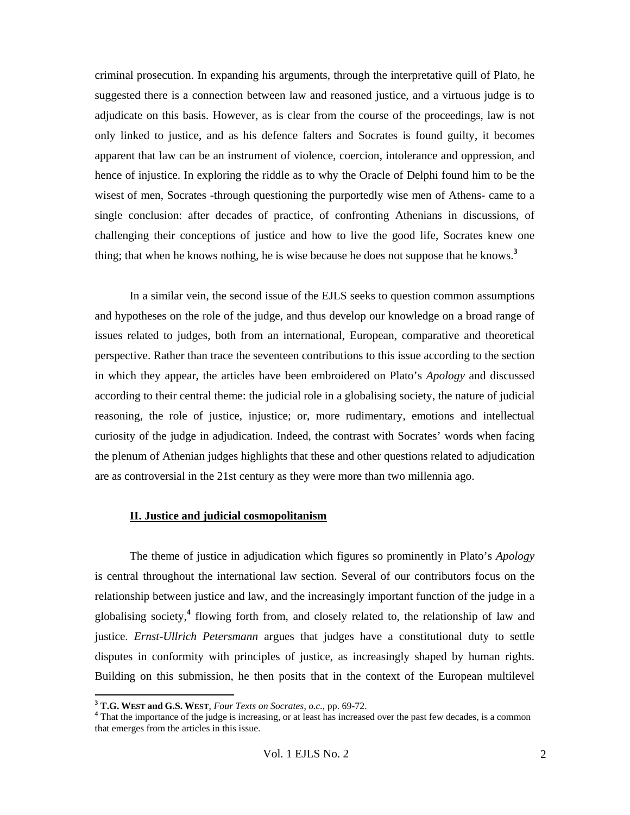criminal prosecution. In expanding his arguments, through the interpretative quill of Plato, he suggested there is a connection between law and reasoned justice, and a virtuous judge is to adjudicate on this basis. However, as is clear from the course of the proceedings, law is not only linked to justice, and as his defence falters and Socrates is found guilty, it becomes apparent that law can be an instrument of violence, coercion, intolerance and oppression, and hence of injustice. In exploring the riddle as to why the Oracle of Delphi found him to be the wisest of men, Socrates -through questioning the purportedly wise men of Athens- came to a single conclusion: after decades of practice, of confronting Athenians in discussions, of challenging their conceptions of justice and how to live the good life, Socrates knew one thing; that when he knows nothing, he is wise because he does not suppose that he knows.**<sup>3</sup>**

In a similar vein, the second issue of the EJLS seeks to question common assumptions and hypotheses on the role of the judge, and thus develop our knowledge on a broad range of issues related to judges, both from an international, European, comparative and theoretical perspective. Rather than trace the seventeen contributions to this issue according to the section in which they appear, the articles have been embroidered on Plato's *Apology* and discussed according to their central theme: the judicial role in a globalising society, the nature of judicial reasoning, the role of justice, injustice; or, more rudimentary, emotions and intellectual curiosity of the judge in adjudication. Indeed, the contrast with Socrates' words when facing the plenum of Athenian judges highlights that these and other questions related to adjudication are as controversial in the 21st century as they were more than two millennia ago.

#### **II. Justice and judicial cosmopolitanism**

The theme of justice in adjudication which figures so prominently in Plato's *Apology* is central throughout the international law section. Several of our contributors focus on the relationship between justice and law, and the increasingly important function of the judge in a globalising society,**<sup>4</sup>** flowing forth from, and closely related to, the relationship of law and justice. *Ernst-Ullrich Petersmann* argues that judges have a constitutional duty to settle disputes in conformity with principles of justice, as increasingly shaped by human rights. Building on this submission, he then posits that in the context of the European multilevel

**<sup>3</sup> T.G. WEST and G.S. WEST**, *Four Texts on Socrates*, *o.c.*, pp. 69-72. **<sup>4</sup>**

<sup>&</sup>lt;sup>4</sup> That the importance of the judge is increasing, or at least has increased over the past few decades, is a common that emerges from the articles in this issue.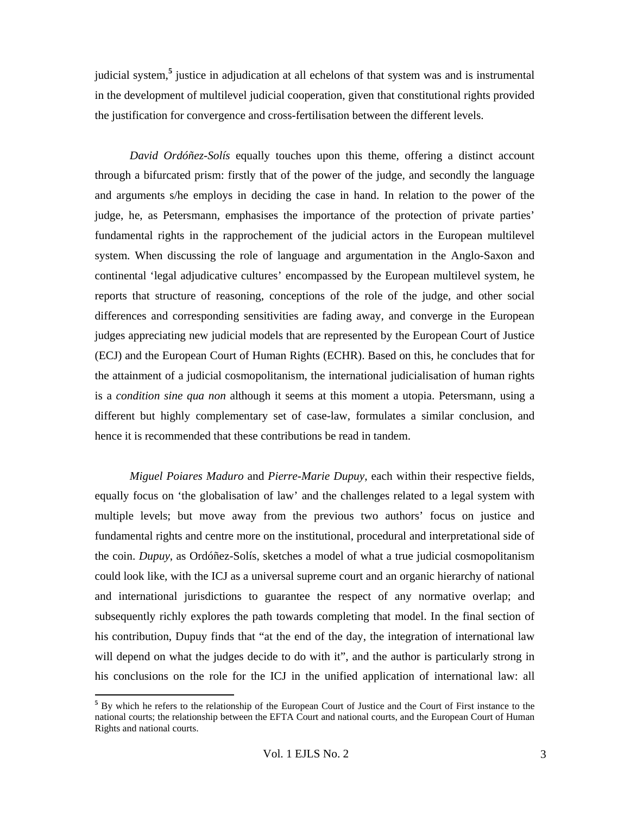judicial system,**<sup>5</sup>** justice in adjudication at all echelons of that system was and is instrumental in the development of multilevel judicial cooperation, given that constitutional rights provided the justification for convergence and cross-fertilisation between the different levels.

*David Ordóñez-Solís* equally touches upon this theme, offering a distinct account through a bifurcated prism: firstly that of the power of the judge, and secondly the language and arguments s/he employs in deciding the case in hand. In relation to the power of the judge, he, as Petersmann, emphasises the importance of the protection of private parties' fundamental rights in the rapprochement of the judicial actors in the European multilevel system. When discussing the role of language and argumentation in the Anglo-Saxon and continental 'legal adjudicative cultures' encompassed by the European multilevel system, he reports that structure of reasoning, conceptions of the role of the judge, and other social differences and corresponding sensitivities are fading away, and converge in the European judges appreciating new judicial models that are represented by the European Court of Justice (ECJ) and the European Court of Human Rights (ECHR). Based on this, he concludes that for the attainment of a judicial cosmopolitanism, the international judicialisation of human rights is a *condition sine qua non* although it seems at this moment a utopia. Petersmann, using a different but highly complementary set of case-law, formulates a similar conclusion, and hence it is recommended that these contributions be read in tandem.

*Miguel Poiares Maduro* and *Pierre-Marie Dupuy*, each within their respective fields, equally focus on 'the globalisation of law' and the challenges related to a legal system with multiple levels; but move away from the previous two authors' focus on justice and fundamental rights and centre more on the institutional, procedural and interpretational side of the coin. *Dupuy*, as Ordóñez-Solís, sketches a model of what a true judicial cosmopolitanism could look like, with the ICJ as a universal supreme court and an organic hierarchy of national and international jurisdictions to guarantee the respect of any normative overlap; and subsequently richly explores the path towards completing that model. In the final section of his contribution, Dupuy finds that "at the end of the day, the integration of international law will depend on what the judges decide to do with it", and the author is particularly strong in his conclusions on the role for the ICJ in the unified application of international law: all

<sup>&</sup>lt;sup>5</sup> By which he refers to the relationship of the European Court of Justice and the Court of First instance to the national courts; the relationship between the EFTA Court and national courts, and the European Court of Human Rights and national courts.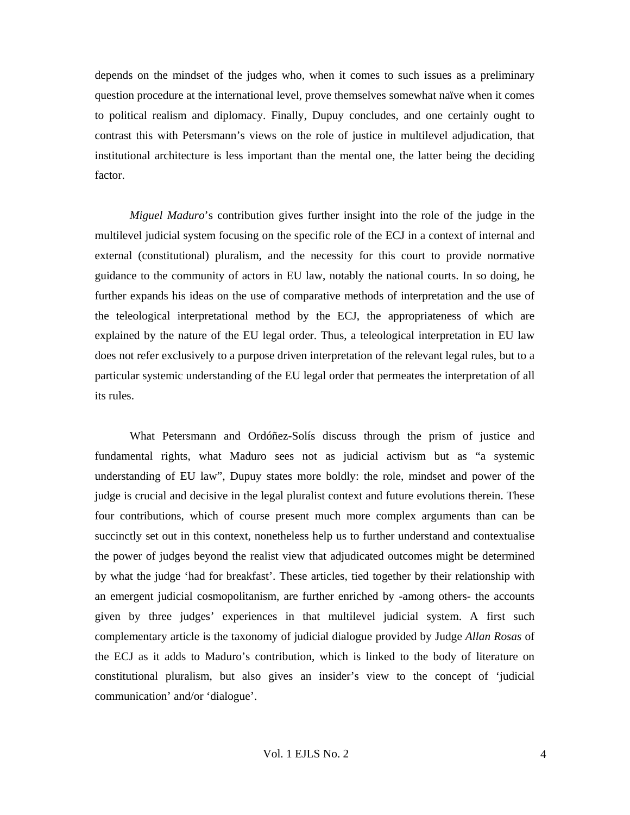depends on the mindset of the judges who, when it comes to such issues as a preliminary question procedure at the international level, prove themselves somewhat naïve when it comes to political realism and diplomacy. Finally, Dupuy concludes, and one certainly ought to contrast this with Petersmann's views on the role of justice in multilevel adjudication, that institutional architecture is less important than the mental one, the latter being the deciding factor.

*Miguel Maduro*'s contribution gives further insight into the role of the judge in the multilevel judicial system focusing on the specific role of the ECJ in a context of internal and external (constitutional) pluralism, and the necessity for this court to provide normative guidance to the community of actors in EU law, notably the national courts. In so doing, he further expands his ideas on the use of comparative methods of interpretation and the use of the teleological interpretational method by the ECJ, the appropriateness of which are explained by the nature of the EU legal order. Thus, a teleological interpretation in EU law does not refer exclusively to a purpose driven interpretation of the relevant legal rules, but to a particular systemic understanding of the EU legal order that permeates the interpretation of all its rules.

What Petersmann and Ordóñez-Solís discuss through the prism of justice and fundamental rights, what Maduro sees not as judicial activism but as "a systemic understanding of EU law", Dupuy states more boldly: the role, mindset and power of the judge is crucial and decisive in the legal pluralist context and future evolutions therein. These four contributions, which of course present much more complex arguments than can be succinctly set out in this context, nonetheless help us to further understand and contextualise the power of judges beyond the realist view that adjudicated outcomes might be determined by what the judge 'had for breakfast'. These articles, tied together by their relationship with an emergent judicial cosmopolitanism, are further enriched by -among others- the accounts given by three judges' experiences in that multilevel judicial system. A first such complementary article is the taxonomy of judicial dialogue provided by Judge *Allan Rosas* of the ECJ as it adds to Maduro's contribution, which is linked to the body of literature on constitutional pluralism, but also gives an insider's view to the concept of 'judicial communication' and/or 'dialogue'.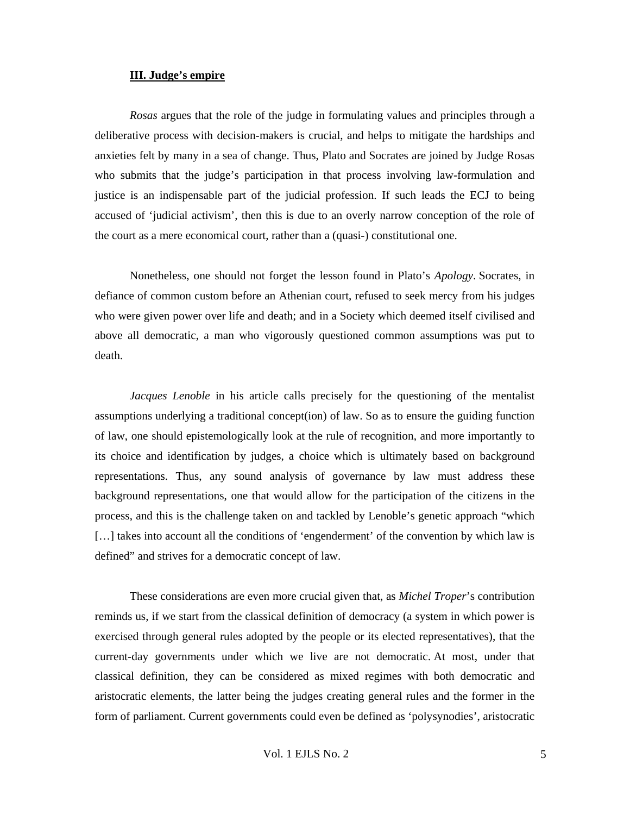### **III. Judge's empire**

*Rosas* argues that the role of the judge in formulating values and principles through a deliberative process with decision-makers is crucial, and helps to mitigate the hardships and anxieties felt by many in a sea of change. Thus, Plato and Socrates are joined by Judge Rosas who submits that the judge's participation in that process involving law-formulation and justice is an indispensable part of the judicial profession. If such leads the ECJ to being accused of 'judicial activism', then this is due to an overly narrow conception of the role of the court as a mere economical court, rather than a (quasi-) constitutional one.

Nonetheless, one should not forget the lesson found in Plato's *Apology*. Socrates, in defiance of common custom before an Athenian court, refused to seek mercy from his judges who were given power over life and death; and in a Society which deemed itself civilised and above all democratic, a man who vigorously questioned common assumptions was put to death.

*Jacques Lenoble* in his article calls precisely for the questioning of the mentalist assumptions underlying a traditional concept(ion) of law. So as to ensure the guiding function of law, one should epistemologically look at the rule of recognition, and more importantly to its choice and identification by judges, a choice which is ultimately based on background representations. Thus, any sound analysis of governance by law must address these background representations, one that would allow for the participation of the citizens in the process, and this is the challenge taken on and tackled by Lenoble's genetic approach "which [...] takes into account all the conditions of 'engenderment' of the convention by which law is defined" and strives for a democratic concept of law.

These considerations are even more crucial given that, as *Michel Troper*'s contribution reminds us, if we start from the classical definition of democracy (a system in which power is exercised through general rules adopted by the people or its elected representatives), that the current-day governments under which we live are not democratic. At most, under that classical definition, they can be considered as mixed regimes with both democratic and aristocratic elements, the latter being the judges creating general rules and the former in the form of parliament. Current governments could even be defined as 'polysynodies', aristocratic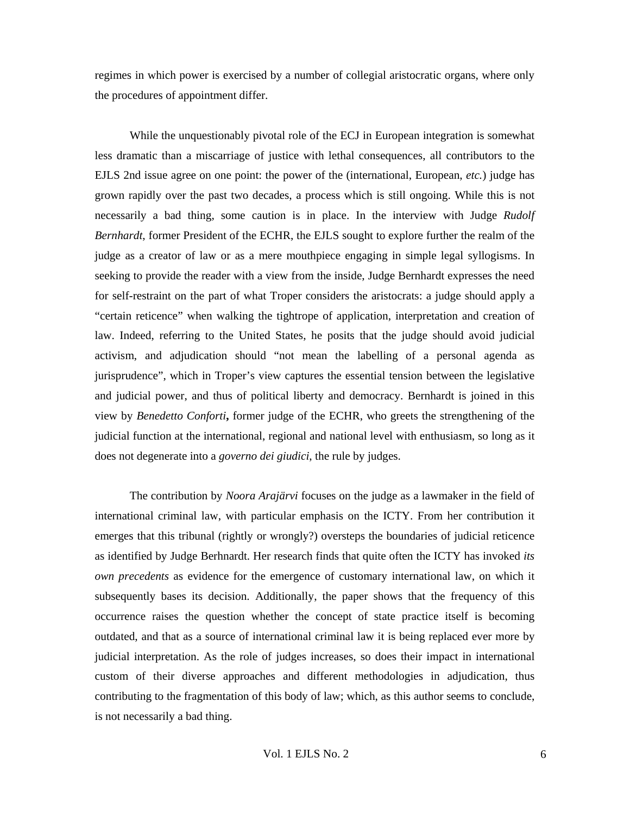regimes in which power is exercised by a number of collegial aristocratic organs, where only the procedures of appointment differ.

While the unquestionably pivotal role of the ECJ in European integration is somewhat less dramatic than a miscarriage of justice with lethal consequences, all contributors to the EJLS 2nd issue agree on one point: the power of the (international, European, *etc.*) judge has grown rapidly over the past two decades, a process which is still ongoing. While this is not necessarily a bad thing, some caution is in place. In the interview with Judge *Rudolf Bernhardt*, former President of the ECHR, the EJLS sought to explore further the realm of the judge as a creator of law or as a mere mouthpiece engaging in simple legal syllogisms. In seeking to provide the reader with a view from the inside, Judge Bernhardt expresses the need for self-restraint on the part of what Troper considers the aristocrats: a judge should apply a "certain reticence" when walking the tightrope of application, interpretation and creation of law. Indeed, referring to the United States, he posits that the judge should avoid judicial activism, and adjudication should "not mean the labelling of a personal agenda as jurisprudence", which in Troper's view captures the essential tension between the legislative and judicial power, and thus of political liberty and democracy. Bernhardt is joined in this view by *Benedetto Conforti***,** former judge of the ECHR, who greets the strengthening of the judicial function at the international, regional and national level with enthusiasm, so long as it does not degenerate into a *governo dei giudici*, the rule by judges.

The contribution by *Noora Arajärvi* focuses on the judge as a lawmaker in the field of international criminal law, with particular emphasis on the ICTY. From her contribution it emerges that this tribunal (rightly or wrongly?) oversteps the boundaries of judicial reticence as identified by Judge Berhnardt. Her research finds that quite often the ICTY has invoked *its own precedents* as evidence for the emergence of customary international law, on which it subsequently bases its decision. Additionally, the paper shows that the frequency of this occurrence raises the question whether the concept of state practice itself is becoming outdated, and that as a source of international criminal law it is being replaced ever more by judicial interpretation. As the role of judges increases, so does their impact in international custom of their diverse approaches and different methodologies in adjudication, thus contributing to the fragmentation of this body of law; which, as this author seems to conclude, is not necessarily a bad thing.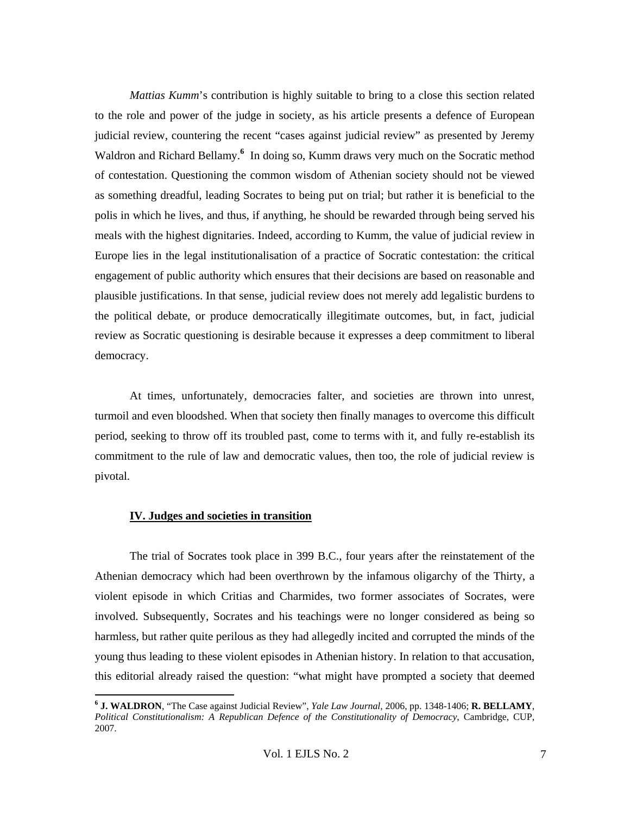*Mattias Kumm*'s contribution is highly suitable to bring to a close this section related to the role and power of the judge in society, as his article presents a defence of European judicial review, countering the recent "cases against judicial review" as presented by Jeremy Waldron and Richard Bellamy.<sup>6</sup> In doing so, Kumm draws very much on the Socratic method of contestation. Questioning the common wisdom of Athenian society should not be viewed as something dreadful, leading Socrates to being put on trial; but rather it is beneficial to the polis in which he lives, and thus, if anything, he should be rewarded through being served his meals with the highest dignitaries. Indeed, according to Kumm, the value of judicial review in Europe lies in the legal institutionalisation of a practice of Socratic contestation: the critical engagement of public authority which ensures that their decisions are based on reasonable and plausible justifications. In that sense, judicial review does not merely add legalistic burdens to the political debate, or produce democratically illegitimate outcomes, but, in fact, judicial review as Socratic questioning is desirable because it expresses a deep commitment to liberal democracy.

At times, unfortunately, democracies falter, and societies are thrown into unrest, turmoil and even bloodshed. When that society then finally manages to overcome this difficult period, seeking to throw off its troubled past, come to terms with it, and fully re-establish its commitment to the rule of law and democratic values, then too, the role of judicial review is pivotal.

### **IV. Judges and societies in transition**

-

The trial of Socrates took place in 399 B.C., four years after the reinstatement of the Athenian democracy which had been overthrown by the infamous oligarchy of the Thirty, a violent episode in which Critias and Charmides, two former associates of Socrates, were involved. Subsequently, Socrates and his teachings were no longer considered as being so harmless, but rather quite perilous as they had allegedly incited and corrupted the minds of the young thus leading to these violent episodes in Athenian history. In relation to that accusation, this editorial already raised the question: "what might have prompted a society that deemed

**<sup>6</sup> J. WALDRON**, "The Case against Judicial Review", *Yale Law Journal*, 2006, pp. 1348-1406; **R. BELLAMY**, *Political Constitutionalism: A Republican Defence of the Constitutionality of Democracy*, Cambridge, CUP, 2007.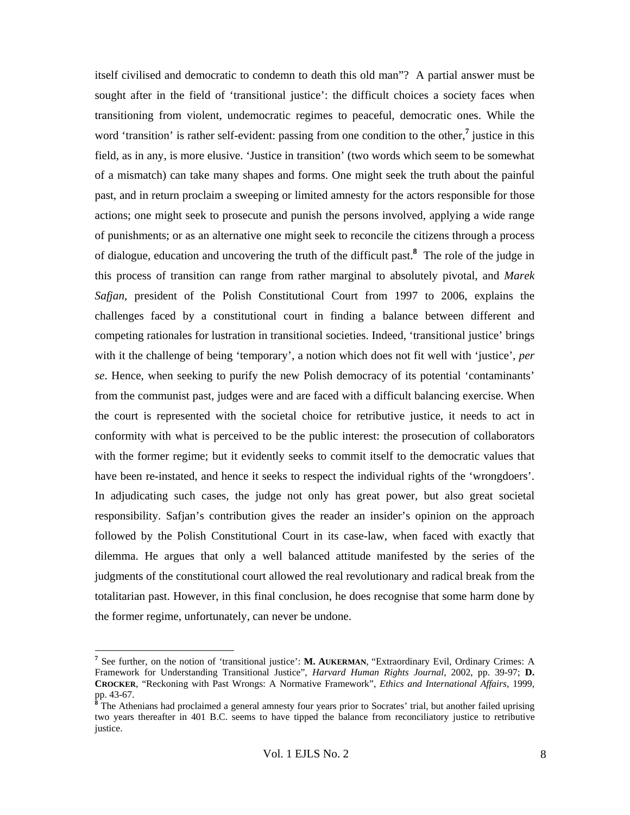itself civilised and democratic to condemn to death this old man"? A partial answer must be sought after in the field of 'transitional justice': the difficult choices a society faces when transitioning from violent, undemocratic regimes to peaceful, democratic ones. While the word 'transition' is rather self-evident: passing from one condition to the other,**<sup>7</sup>** justice in this field, as in any, is more elusive. 'Justice in transition' (two words which seem to be somewhat of a mismatch) can take many shapes and forms. One might seek the truth about the painful past, and in return proclaim a sweeping or limited amnesty for the actors responsible for those actions; one might seek to prosecute and punish the persons involved, applying a wide range of punishments; or as an alternative one might seek to reconcile the citizens through a process of dialogue, education and uncovering the truth of the difficult past.**<sup>8</sup>** The role of the judge in this process of transition can range from rather marginal to absolutely pivotal, and *Marek Safjan*, president of the Polish Constitutional Court from 1997 to 2006, explains the challenges faced by a constitutional court in finding a balance between different and competing rationales for lustration in transitional societies. Indeed, 'transitional justice' brings with it the challenge of being 'temporary', a notion which does not fit well with 'justice', *per se*. Hence, when seeking to purify the new Polish democracy of its potential 'contaminants' from the communist past, judges were and are faced with a difficult balancing exercise. When the court is represented with the societal choice for retributive justice, it needs to act in conformity with what is perceived to be the public interest: the prosecution of collaborators with the former regime; but it evidently seeks to commit itself to the democratic values that have been re-instated, and hence it seeks to respect the individual rights of the 'wrongdoers'. In adjudicating such cases, the judge not only has great power, but also great societal responsibility. Safjan's contribution gives the reader an insider's opinion on the approach followed by the Polish Constitutional Court in its case-law, when faced with exactly that dilemma. He argues that only a well balanced attitude manifested by the series of the judgments of the constitutional court allowed the real revolutionary and radical break from the totalitarian past. However, in this final conclusion, he does recognise that some harm done by the former regime, unfortunately, can never be undone.

**<sup>7</sup>** See further, on the notion of 'transitional justice': **M. AUKERMAN**, "Extraordinary Evil, Ordinary Crimes: A Framework for Understanding Transitional Justice", *Harvard Human Rights Journal*, 2002, pp. 39-97; **D. CROCKER**, "Reckoning with Past Wrongs: A Normative Framework", *Ethics and International Affairs*, 1999,  $pp. 43-67.$ 

**<sup>8</sup>** The Athenians had proclaimed a general amnesty four years prior to Socrates' trial, but another failed uprising two years thereafter in 401 B.C. seems to have tipped the balance from reconciliatory justice to retributive justice.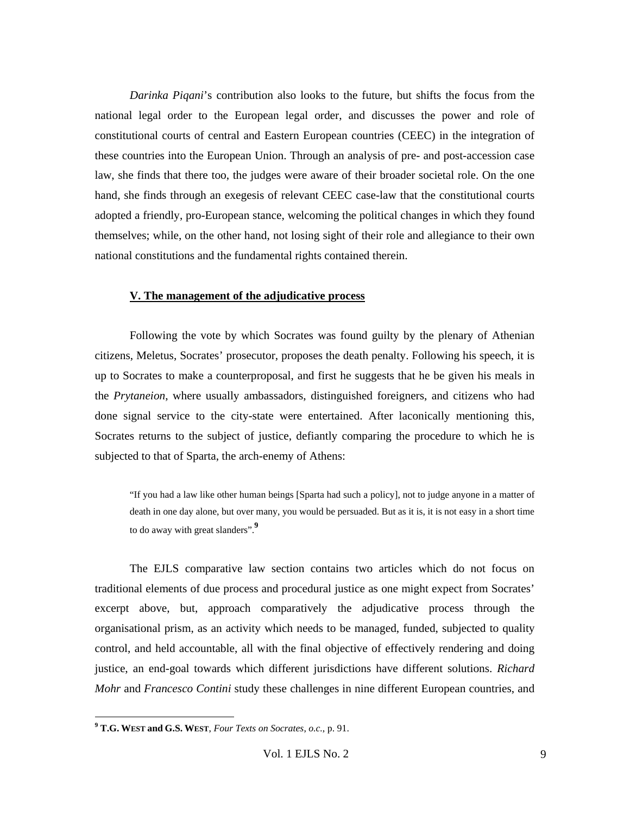*Darinka Piqani*'s contribution also looks to the future, but shifts the focus from the national legal order to the European legal order, and discusses the power and role of constitutional courts of central and Eastern European countries (CEEC) in the integration of these countries into the European Union. Through an analysis of pre- and post-accession case law, she finds that there too, the judges were aware of their broader societal role. On the one hand, she finds through an exegesis of relevant CEEC case-law that the constitutional courts adopted a friendly, pro-European stance, welcoming the political changes in which they found themselves; while, on the other hand, not losing sight of their role and allegiance to their own national constitutions and the fundamental rights contained therein.

#### **V. The management of the adjudicative process**

Following the vote by which Socrates was found guilty by the plenary of Athenian citizens, Meletus, Socrates' prosecutor, proposes the death penalty. Following his speech, it is up to Socrates to make a counterproposal, and first he suggests that he be given his meals in the *Prytaneion*, where usually ambassadors, distinguished foreigners, and citizens who had done signal service to the city-state were entertained. After laconically mentioning this, Socrates returns to the subject of justice, defiantly comparing the procedure to which he is subjected to that of Sparta, the arch-enemy of Athens:

"If you had a law like other human beings [Sparta had such a policy], not to judge anyone in a matter of death in one day alone, but over many, you would be persuaded. But as it is, it is not easy in a short time to do away with great slanders".**<sup>9</sup>**

The EJLS comparative law section contains two articles which do not focus on traditional elements of due process and procedural justice as one might expect from Socrates' excerpt above, but, approach comparatively the adjudicative process through the organisational prism, as an activity which needs to be managed, funded, subjected to quality control, and held accountable, all with the final objective of effectively rendering and doing justice, an end-goal towards which different jurisdictions have different solutions. *Richard Mohr* and *Francesco Contini* study these challenges in nine different European countries, and

**<sup>9</sup> T.G. WEST and G.S. WEST**, *Four Texts on Socrates*, *o.c.*, p. 91.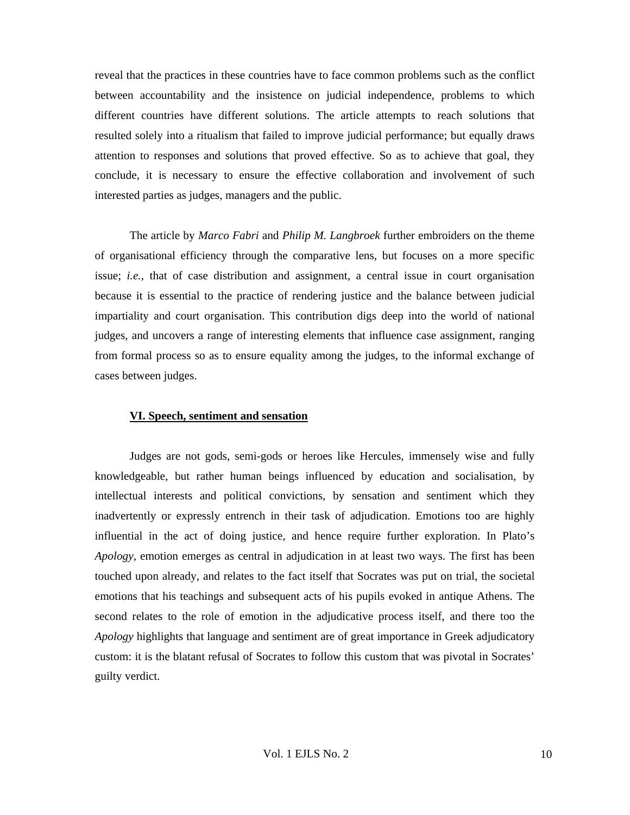reveal that the practices in these countries have to face common problems such as the conflict between accountability and the insistence on judicial independence, problems to which different countries have different solutions. The article attempts to reach solutions that resulted solely into a ritualism that failed to improve judicial performance; but equally draws attention to responses and solutions that proved effective. So as to achieve that goal, they conclude, it is necessary to ensure the effective collaboration and involvement of such interested parties as judges, managers and the public.

The article by *Marco Fabri* and *Philip M. Langbroek* further embroiders on the theme of organisational efficiency through the comparative lens, but focuses on a more specific issue; *i.e.*, that of case distribution and assignment, a central issue in court organisation because it is essential to the practice of rendering justice and the balance between judicial impartiality and court organisation. This contribution digs deep into the world of national judges, and uncovers a range of interesting elements that influence case assignment, ranging from formal process so as to ensure equality among the judges, to the informal exchange of cases between judges.

## **VI. Speech, sentiment and sensation**

Judges are not gods, semi-gods or heroes like Hercules, immensely wise and fully knowledgeable, but rather human beings influenced by education and socialisation, by intellectual interests and political convictions, by sensation and sentiment which they inadvertently or expressly entrench in their task of adjudication. Emotions too are highly influential in the act of doing justice, and hence require further exploration. In Plato's *Apology*, emotion emerges as central in adjudication in at least two ways. The first has been touched upon already, and relates to the fact itself that Socrates was put on trial, the societal emotions that his teachings and subsequent acts of his pupils evoked in antique Athens. The second relates to the role of emotion in the adjudicative process itself, and there too the *Apology* highlights that language and sentiment are of great importance in Greek adjudicatory custom: it is the blatant refusal of Socrates to follow this custom that was pivotal in Socrates' guilty verdict.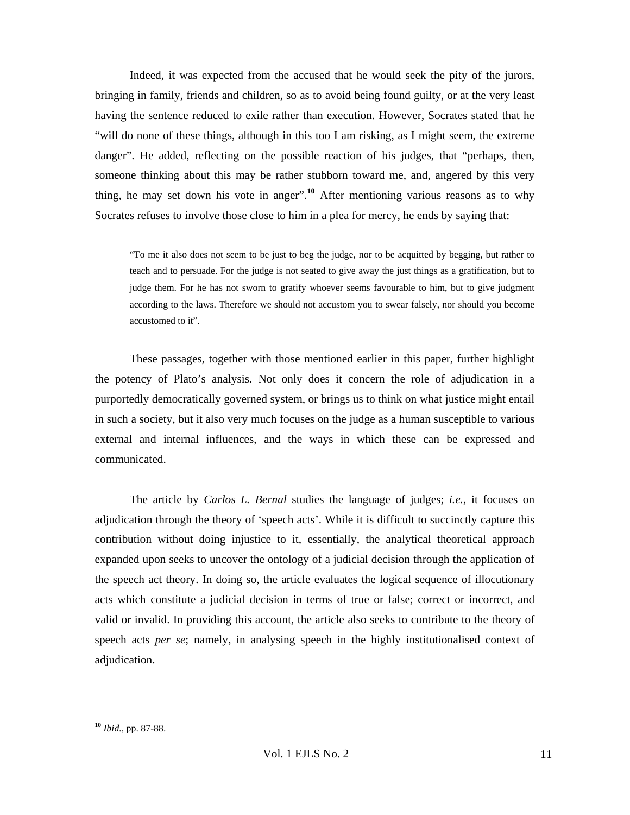Indeed, it was expected from the accused that he would seek the pity of the jurors, bringing in family, friends and children, so as to avoid being found guilty, or at the very least having the sentence reduced to exile rather than execution. However, Socrates stated that he "will do none of these things, although in this too I am risking, as I might seem, the extreme danger". He added, reflecting on the possible reaction of his judges, that "perhaps, then, someone thinking about this may be rather stubborn toward me, and, angered by this very thing, he may set down his vote in anger".**<sup>10</sup>** After mentioning various reasons as to why Socrates refuses to involve those close to him in a plea for mercy, he ends by saying that:

"To me it also does not seem to be just to beg the judge, nor to be acquitted by begging, but rather to teach and to persuade. For the judge is not seated to give away the just things as a gratification, but to judge them. For he has not sworn to gratify whoever seems favourable to him, but to give judgment according to the laws. Therefore we should not accustom you to swear falsely, nor should you become accustomed to it".

These passages, together with those mentioned earlier in this paper, further highlight the potency of Plato's analysis. Not only does it concern the role of adjudication in a purportedly democratically governed system, or brings us to think on what justice might entail in such a society, but it also very much focuses on the judge as a human susceptible to various external and internal influences, and the ways in which these can be expressed and communicated.

The article by *Carlos L. Bernal* studies the language of judges; *i.e.*, it focuses on adjudication through the theory of 'speech acts'. While it is difficult to succinctly capture this contribution without doing injustice to it, essentially, the analytical theoretical approach expanded upon seeks to uncover the ontology of a judicial decision through the application of the speech act theory. In doing so, the article evaluates the logical sequence of illocutionary acts which constitute a judicial decision in terms of true or false; correct or incorrect, and valid or invalid. In providing this account, the article also seeks to contribute to the theory of speech acts *per se*; namely, in analysing speech in the highly institutionalised context of adjudication.

**<sup>10</sup>** *Ibid.*, pp. 87-88.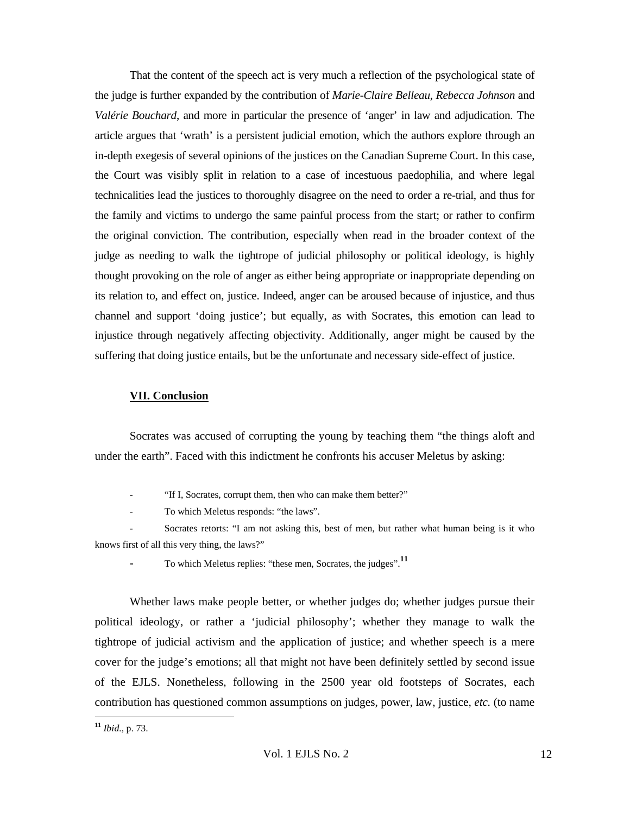That the content of the speech act is very much a reflection of the psychological state of the judge is further expanded by the contribution of *Marie-Claire Belleau*, *Rebecca Johnson* and *Valérie Bouchard*, and more in particular the presence of 'anger' in law and adjudication. The article argues that 'wrath' is a persistent judicial emotion, which the authors explore through an in-depth exegesis of several opinions of the justices on the Canadian Supreme Court. In this case, the Court was visibly split in relation to a case of incestuous paedophilia, and where legal technicalities lead the justices to thoroughly disagree on the need to order a re-trial, and thus for the family and victims to undergo the same painful process from the start; or rather to confirm the original conviction. The contribution, especially when read in the broader context of the judge as needing to walk the tightrope of judicial philosophy or political ideology, is highly thought provoking on the role of anger as either being appropriate or inappropriate depending on its relation to, and effect on, justice. Indeed, anger can be aroused because of injustice, and thus channel and support 'doing justice'; but equally, as with Socrates, this emotion can lead to injustice through negatively affecting objectivity. Additionally, anger might be caused by the suffering that doing justice entails, but be the unfortunate and necessary side-effect of justice.

# **VII. Conclusion**

Socrates was accused of corrupting the young by teaching them "the things aloft and under the earth". Faced with this indictment he confronts his accuser Meletus by asking:

"If I, Socrates, corrupt them, then who can make them better?"

To which Meletus responds: "the laws".

Socrates retorts: "I am not asking this, best of men, but rather what human being is it who knows first of all this very thing, the laws?"

To which Meletus replies: "these men, Socrates, the judges".<sup>11</sup>

Whether laws make people better, or whether judges do; whether judges pursue their political ideology, or rather a 'judicial philosophy'; whether they manage to walk the tightrope of judicial activism and the application of justice; and whether speech is a mere cover for the judge's emotions; all that might not have been definitely settled by second issue of the EJLS. Nonetheless, following in the 2500 year old footsteps of Socrates, each contribution has questioned common assumptions on judges, power, law, justice, *etc.* (to name

**<sup>11</sup>** *Ibid.*, p. 73.